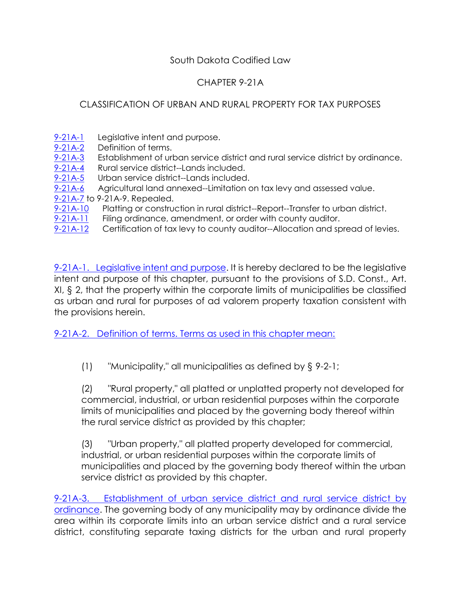## South Dakota Codified Law

## CHAPTER 9-21A

## CLASSIFICATION OF URBAN AND RURAL PROPERTY FOR TAX PURPOSES

- [9-21A-1](http://sdlegislature.gov/Statutes/Codified_Laws/DisplayStatute.aspx?Type=Statute&Statute=9-21A-1) Legislative intent and purpose.<br>9-21A-2 Definition of terms.
- Definition of terms.
- [9-21A-3](http://sdlegislature.gov/Statutes/Codified_Laws/DisplayStatute.aspx?Type=Statute&Statute=9-21A-3) Establishment of urban service district and rural service district by ordinance.
- [9-21A-4](http://sdlegislature.gov/Statutes/Codified_Laws/DisplayStatute.aspx?Type=Statute&Statute=9-21A-4) Rural service district--Lands included.
- [9-21A-5](http://sdlegislature.gov/Statutes/Codified_Laws/DisplayStatute.aspx?Type=Statute&Statute=9-21A-5) Urban service district--Lands included.
- [9-21A-6](http://sdlegislature.gov/Statutes/Codified_Laws/DisplayStatute.aspx?Type=Statute&Statute=9-21A-6) Agricultural land annexed--Limitation on tax levy and assessed value.
- [9-21A-7](http://sdlegislature.gov/Statutes/Codified_Laws/DisplayStatute.aspx?Type=Statute&Statute=9-21A-7) to 9-21A-9. Repealed.
- [9-21A-10](http://sdlegislature.gov/Statutes/Codified_Laws/DisplayStatute.aspx?Type=Statute&Statute=9-21A-10) Platting or construction in rural district--Report--Transfer to urban district.
- [9-21A-11](http://sdlegislature.gov/Statutes/Codified_Laws/DisplayStatute.aspx?Type=Statute&Statute=9-21A-11) Filing ordinance, amendment, or order with county auditor.
- [9-21A-12](http://sdlegislature.gov/Statutes/Codified_Laws/DisplayStatute.aspx?Type=Statute&Statute=9-21A-12) Certification of tax levy to county auditor--Allocation and spread of levies.

[9-21A-1. Legislative intent and purpose.](http://sdlegislature.gov/Statutes/Codified_Laws/DisplayStatute.aspx?Type=Statute&Statute=9-21A-1) It is hereby declared to be the legislative intent and purpose of this chapter, pursuant to the provisions of S.D. Const., Art. XI, § 2, that the property within the corporate limits of municipalities be classified as urban and rural for purposes of ad valorem property taxation consistent with the provisions herein.

[9-21A-2. Definition of terms. Terms as used in this chapter mean:](http://sdlegislature.gov/Statutes/Codified_Laws/DisplayStatute.aspx?Type=Statute&Statute=9-21A-2)

(1) "Municipality," all municipalities as defined by § 9-2-1;

(2) "Rural property," all platted or unplatted property not developed for commercial, industrial, or urban residential purposes within the corporate limits of municipalities and placed by the governing body thereof within the rural service district as provided by this chapter;

(3) "Urban property," all platted property developed for commercial, industrial, or urban residential purposes within the corporate limits of municipalities and placed by the governing body thereof within the urban service district as provided by this chapter.

[9-21A-3. Establishment of urban service district and rural service district by](http://sdlegislature.gov/Statutes/Codified_Laws/DisplayStatute.aspx?Type=Statute&Statute=9-21A-3)  [ordinance.](http://sdlegislature.gov/Statutes/Codified_Laws/DisplayStatute.aspx?Type=Statute&Statute=9-21A-3) The governing body of any municipality may by ordinance divide the area within its corporate limits into an urban service district and a rural service district, constituting separate taxing districts for the urban and rural property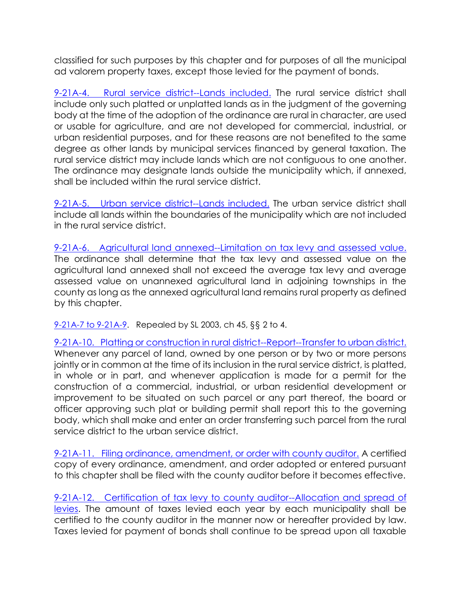classified for such purposes by this chapter and for purposes of all the municipal ad valorem property taxes, except those levied for the payment of bonds.

[9-21A-4. Rural service district--Lands included.](http://sdlegislature.gov/Statutes/Codified_Laws/DisplayStatute.aspx?Type=Statute&Statute=9-21A-4) The rural service district shall include only such platted or unplatted lands as in the judgment of the governing body at the time of the adoption of the ordinance are rural in character, are used or usable for agriculture, and are not developed for commercial, industrial, or urban residential purposes, and for these reasons are not benefited to the same degree as other lands by municipal services financed by general taxation. The rural service district may include lands which are not contiguous to one another. The ordinance may designate lands outside the municipality which, if annexed, shall be included within the rural service district.

[9-21A-5. Urban service district--Lands included.](http://sdlegislature.gov/Statutes/Codified_Laws/DisplayStatute.aspx?Type=Statute&Statute=9-21A-5) The urban service district shall include all lands within the boundaries of the municipality which are not included in the rural service district.

[9-21A-6. Agricultural land annexed--Limitation on tax levy and assessed value.](http://sdlegislature.gov/Statutes/Codified_Laws/DisplayStatute.aspx?Type=Statute&Statute=9-21A-6) The ordinance shall determine that the tax levy and assessed value on the agricultural land annexed shall not exceed the average tax levy and average assessed value on unannexed agricultural land in adjoining townships in the county as long as the annexed agricultural land remains rural property as defined by this chapter.

[9-21A-7 to 9-21A-9.](http://sdlegislature.gov/Statutes/Codified_Laws/DisplayStatute.aspx?Type=Statute&Statute=9-21A-7) Repealed by SL 2003, ch 45, §§ 2 to 4.

9-21A-10. Platting or [construction in rural district--Report--Transfer to urban district.](http://sdlegislature.gov/Statutes/Codified_Laws/DisplayStatute.aspx?Type=Statute&Statute=9-21A-10) Whenever any parcel of land, owned by one person or by two or more persons jointly or in common at the time of its inclusion in the rural service district, is platted, in whole or in part, and whenever application is made for a permit for the construction of a commercial, industrial, or urban residential development or improvement to be situated on such parcel or any part thereof, the board or officer approving such plat or building permit shall report this to the governing body, which shall make and enter an order transferring such parcel from the rural service district to the urban service district.

[9-21A-11. Filing ordinance, amendment, or order with county auditor.](http://sdlegislature.gov/Statutes/Codified_Laws/DisplayStatute.aspx?Type=Statute&Statute=9-21A-11) A certified copy of every ordinance, amendment, and order adopted or entered pursuant to this chapter shall be filed with the county auditor before it becomes effective.

[9-21A-12. Certification of tax levy to county auditor--Allocation and spread of](http://sdlegislature.gov/Statutes/Codified_Laws/DisplayStatute.aspx?Type=Statute&Statute=9-21A-12)  [levies.](http://sdlegislature.gov/Statutes/Codified_Laws/DisplayStatute.aspx?Type=Statute&Statute=9-21A-12) The amount of taxes levied each year by each municipality shall be certified to the county auditor in the manner now or hereafter provided by law. Taxes levied for payment of bonds shall continue to be spread upon all taxable